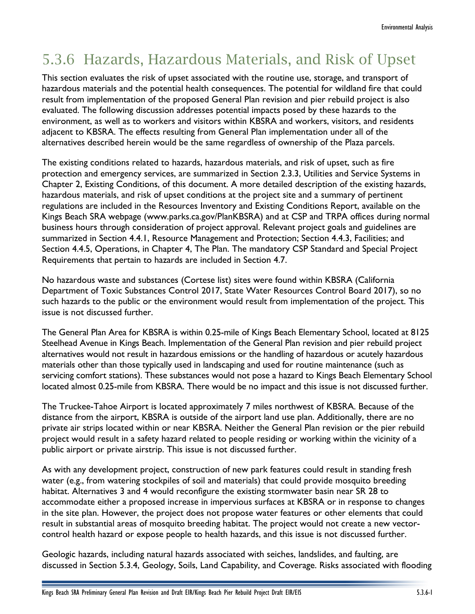# 5.3.6 Hazards, Hazardous Materials, and Risk of Upset

This section evaluates the risk of upset associated with the routine use, storage, and transport of hazardous materials and the potential health consequences. The potential for wildland fire that could result from implementation of the proposed General Plan revision and pier rebuild project is also evaluated. The following discussion addresses potential impacts posed by these hazards to the environment, as well as to workers and visitors within KBSRA and workers, visitors, and residents adjacent to KBSRA. The effects resulting from General Plan implementation under all of the alternatives described herein would be the same regardless of ownership of the Plaza parcels.

The existing conditions related to hazards, hazardous materials, and risk of upset, such as fire protection and emergency services, are summarized in Section 2.3.3, Utilities and Service Systems in Chapter 2, Existing Conditions, of this document. A more detailed description of the existing hazards, hazardous materials, and risk of upset conditions at the project site and a summary of pertinent regulations are included in the Resources Inventory and Existing Conditions Report, available on the Kings Beach SRA webpage (www.parks.ca.gov/PlanKBSRA) and at CSP and TRPA offices during normal business hours through consideration of project approval. Relevant project goals and guidelines are summarized in Section 4.4.1, Resource Management and Protection; Section 4.4.3, Facilities; and Section 4.4.5, Operations, in Chapter 4, The Plan. The mandatory CSP Standard and Special Project Requirements that pertain to hazards are included in Section 4.7.

No hazardous waste and substances (Cortese list) sites were found within KBSRA (California Department of Toxic Substances Control 2017, State Water Resources Control Board 2017), so no such hazards to the public or the environment would result from implementation of the project. This issue is not discussed further.

The General Plan Area for KBSRA is within 0.25-mile of Kings Beach Elementary School, located at 8125 Steelhead Avenue in Kings Beach. Implementation of the General Plan revision and pier rebuild project alternatives would not result in hazardous emissions or the handling of hazardous or acutely hazardous materials other than those typically used in landscaping and used for routine maintenance (such as servicing comfort stations). These substances would not pose a hazard to Kings Beach Elementary School located almost 0.25-mile from KBSRA. There would be no impact and this issue is not discussed further.

The Truckee-Tahoe Airport is located approximately 7 miles northwest of KBSRA. Because of the distance from the airport, KBSRA is outside of the airport land use plan. Additionally, there are no private air strips located within or near KBSRA. Neither the General Plan revision or the pier rebuild project would result in a safety hazard related to people residing or working within the vicinity of a public airport or private airstrip. This issue is not discussed further.

As with any development project, construction of new park features could result in standing fresh water (e.g., from watering stockpiles of soil and materials) that could provide mosquito breeding habitat. Alternatives 3 and 4 would reconfigure the existing stormwater basin near SR 28 to accommodate either a proposed increase in impervious surfaces at KBSRA or in response to changes in the site plan. However, the project does not propose water features or other elements that could result in substantial areas of mosquito breeding habitat. The project would not create a new vectorcontrol health hazard or expose people to health hazards, and this issue is not discussed further.

Geologic hazards, including natural hazards associated with seiches, landslides, and faulting, are discussed in Section 5.3.4, Geology, Soils, Land Capability, and Coverage. Risks associated with flooding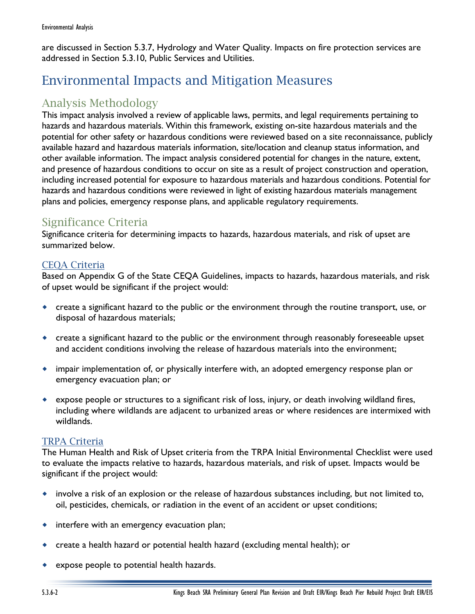are discussed in Section 5.3.7, Hydrology and Water Quality. Impacts on fire protection services are addressed in Section 5.3.10, Public Services and Utilities.

# Environmental Impacts and Mitigation Measures

# Analysis Methodology

This impact analysis involved a review of applicable laws, permits, and legal requirements pertaining to hazards and hazardous materials. Within this framework, existing on-site hazardous materials and the potential for other safety or hazardous conditions were reviewed based on a site reconnaissance, publicly available hazard and hazardous materials information, site/location and cleanup status information, and other available information. The impact analysis considered potential for changes in the nature, extent, and presence of hazardous conditions to occur on site as a result of project construction and operation, including increased potential for exposure to hazardous materials and hazardous conditions. Potential for hazards and hazardous conditions were reviewed in light of existing hazardous materials management plans and policies, emergency response plans, and applicable regulatory requirements.

# Significance Criteria

Significance criteria for determining impacts to hazards, hazardous materials, and risk of upset are summarized below.

# CEQA Criteria

Based on Appendix G of the State CEQA Guidelines, impacts to hazards, hazardous materials, and risk of upset would be significant if the project would:

- create a significant hazard to the public or the environment through the routine transport, use, or disposal of hazardous materials;
- create a significant hazard to the public or the environment through reasonably foreseeable upset and accident conditions involving the release of hazardous materials into the environment;
- impair implementation of, or physically interfere with, an adopted emergency response plan or emergency evacuation plan; or
- expose people or structures to a significant risk of loss, injury, or death involving wildland fires, including where wildlands are adjacent to urbanized areas or where residences are intermixed with wildlands.

# TRPA Criteria

The Human Health and Risk of Upset criteria from the TRPA Initial Environmental Checklist were used to evaluate the impacts relative to hazards, hazardous materials, and risk of upset. Impacts would be significant if the project would:

- involve a risk of an explosion or the release of hazardous substances including, but not limited to, oil, pesticides, chemicals, or radiation in the event of an accident or upset conditions;
- interfere with an emergency evacuation plan;
- create a health hazard or potential health hazard (excluding mental health); or
- expose people to potential health hazards.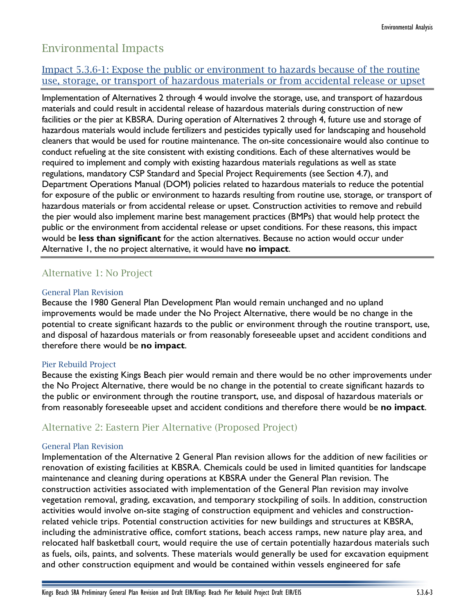# Environmental Impacts

# Impact 5.3.6-1: Expose the public or environment to hazards because of the routine use, storage, or transport of hazardous materials or from accidental release or upset

Implementation of Alternatives 2 through 4 would involve the storage, use, and transport of hazardous materials and could result in accidental release of hazardous materials during construction of new facilities or the pier at KBSRA. During operation of Alternatives 2 through 4, future use and storage of hazardous materials would include fertilizers and pesticides typically used for landscaping and household cleaners that would be used for routine maintenance. The on-site concessionaire would also continue to conduct refueling at the site consistent with existing conditions. Each of these alternatives would be required to implement and comply with existing hazardous materials regulations as well as state regulations, mandatory CSP Standard and Special Project Requirements (see Section 4.7), and Department Operations Manual (DOM) policies related to hazardous materials to reduce the potential for exposure of the public or environment to hazards resulting from routine use, storage, or transport of hazardous materials or from accidental release or upset. Construction activities to remove and rebuild the pier would also implement marine best management practices (BMPs) that would help protect the public or the environment from accidental release or upset conditions. For these reasons, this impact would be **less than significant** for the action alternatives. Because no action would occur under Alternative 1, the no project alternative, it would have **no impact**.

# Alternative 1: No Project

## General Plan Revision

Because the 1980 General Plan Development Plan would remain unchanged and no upland improvements would be made under the No Project Alternative, there would be no change in the potential to create significant hazards to the public or environment through the routine transport, use, and disposal of hazardous materials or from reasonably foreseeable upset and accident conditions and therefore there would be **no impact**.

## Pier Rebuild Project

Because the existing Kings Beach pier would remain and there would be no other improvements under the No Project Alternative, there would be no change in the potential to create significant hazards to the public or environment through the routine transport, use, and disposal of hazardous materials or from reasonably foreseeable upset and accident conditions and therefore there would be **no impact**.

# Alternative 2: Eastern Pier Alternative (Proposed Project)

### General Plan Revision

Implementation of the Alternative 2 General Plan revision allows for the addition of new facilities or renovation of existing facilities at KBSRA. Chemicals could be used in limited quantities for landscape maintenance and cleaning during operations at KBSRA under the General Plan revision. The construction activities associated with implementation of the General Plan revision may involve vegetation removal, grading, excavation, and temporary stockpiling of soils. In addition, construction activities would involve on-site staging of construction equipment and vehicles and constructionrelated vehicle trips. Potential construction activities for new buildings and structures at KBSRA, including the administrative office, comfort stations, beach access ramps, new nature play area, and relocated half basketball court, would require the use of certain potentially hazardous materials such as fuels, oils, paints, and solvents. These materials would generally be used for excavation equipment and other construction equipment and would be contained within vessels engineered for safe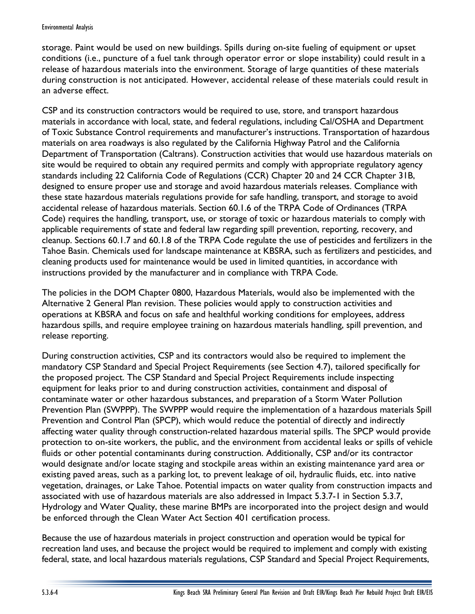storage. Paint would be used on new buildings. Spills during on-site fueling of equipment or upset conditions (i.e., puncture of a fuel tank through operator error or slope instability) could result in a release of hazardous materials into the environment. Storage of large quantities of these materials during construction is not anticipated. However, accidental release of these materials could result in an adverse effect.

CSP and its construction contractors would be required to use, store, and transport hazardous materials in accordance with local, state, and federal regulations, including Cal/OSHA and Department of Toxic Substance Control requirements and manufacturer's instructions. Transportation of hazardous materials on area roadways is also regulated by the California Highway Patrol and the California Department of Transportation (Caltrans). Construction activities that would use hazardous materials on site would be required to obtain any required permits and comply with appropriate regulatory agency standards including 22 California Code of Regulations (CCR) Chapter 20 and 24 CCR Chapter 31B, designed to ensure proper use and storage and avoid hazardous materials releases. Compliance with these state hazardous materials regulations provide for safe handling, transport, and storage to avoid accidental release of hazardous materials. Section 60.1.6 of the TRPA Code of Ordinances (TRPA Code) requires the handling, transport, use, or storage of toxic or hazardous materials to comply with applicable requirements of state and federal law regarding spill prevention, reporting, recovery, and cleanup. Sections 60.1.7 and 60.1.8 of the TRPA Code regulate the use of pesticides and fertilizers in the Tahoe Basin. Chemicals used for landscape maintenance at KBSRA, such as fertilizers and pesticides, and cleaning products used for maintenance would be used in limited quantities, in accordance with instructions provided by the manufacturer and in compliance with TRPA Code.

The policies in the DOM Chapter 0800, Hazardous Materials, would also be implemented with the Alternative 2 General Plan revision. These policies would apply to construction activities and operations at KBSRA and focus on safe and healthful working conditions for employees, address hazardous spills, and require employee training on hazardous materials handling, spill prevention, and release reporting.

During construction activities, CSP and its contractors would also be required to implement the mandatory CSP Standard and Special Project Requirements (see Section 4.7), tailored specifically for the proposed project. The CSP Standard and Special Project Requirements include inspecting equipment for leaks prior to and during construction activities, containment and disposal of contaminate water or other hazardous substances, and preparation of a Storm Water Pollution Prevention Plan (SWPPP). The SWPPP would require the implementation of a hazardous materials Spill Prevention and Control Plan (SPCP), which would reduce the potential of directly and indirectly affecting water quality through construction-related hazardous material spills. The SPCP would provide protection to on-site workers, the public, and the environment from accidental leaks or spills of vehicle fluids or other potential contaminants during construction. Additionally, CSP and/or its contractor would designate and/or locate staging and stockpile areas within an existing maintenance yard area or existing paved areas, such as a parking lot, to prevent leakage of oil, hydraulic fluids, etc. into native vegetation, drainages, or Lake Tahoe. Potential impacts on water quality from construction impacts and associated with use of hazardous materials are also addressed in Impact 5.3.7-1 in Section 5.3.7, Hydrology and Water Quality, these marine BMPs are incorporated into the project design and would be enforced through the Clean Water Act Section 401 certification process.

Because the use of hazardous materials in project construction and operation would be typical for recreation land uses, and because the project would be required to implement and comply with existing federal, state, and local hazardous materials regulations, CSP Standard and Special Project Requirements,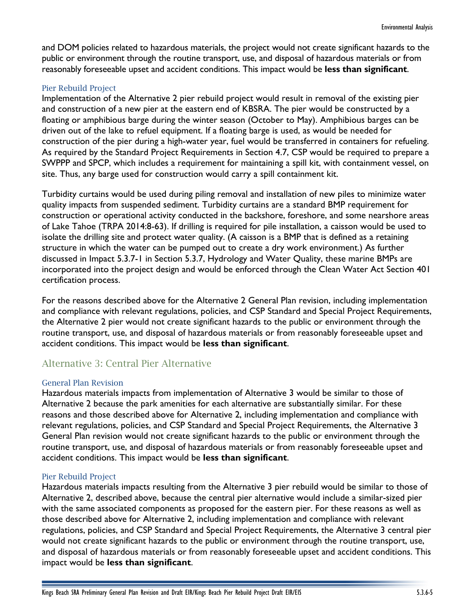and DOM policies related to hazardous materials, the project would not create significant hazards to the public or environment through the routine transport, use, and disposal of hazardous materials or from reasonably foreseeable upset and accident conditions. This impact would be **less than significant**.

#### Pier Rebuild Project

Implementation of the Alternative 2 pier rebuild project would result in removal of the existing pier and construction of a new pier at the eastern end of KBSRA. The pier would be constructed by a floating or amphibious barge during the winter season (October to May). Amphibious barges can be driven out of the lake to refuel equipment. If a floating barge is used, as would be needed for construction of the pier during a high-water year, fuel would be transferred in containers for refueling. As required by the Standard Project Requirements in Section 4.7, CSP would be required to prepare a SWPPP and SPCP, which includes a requirement for maintaining a spill kit, with containment vessel, on site. Thus, any barge used for construction would carry a spill containment kit.

Turbidity curtains would be used during piling removal and installation of new piles to minimize water quality impacts from suspended sediment. Turbidity curtains are a standard BMP requirement for construction or operational activity conducted in the backshore, foreshore, and some nearshore areas of Lake Tahoe (TRPA 2014:8-63). If drilling is required for pile installation, a caisson would be used to isolate the drilling site and protect water quality. (A caisson is a BMP that is defined as a retaining structure in which the water can be pumped out to create a dry work environment.) As further discussed in Impact 5.3.7-1 in Section 5.3.7, Hydrology and Water Quality, these marine BMPs are incorporated into the project design and would be enforced through the Clean Water Act Section 401 certification process.

For the reasons described above for the Alternative 2 General Plan revision, including implementation and compliance with relevant regulations, policies, and CSP Standard and Special Project Requirements, the Alternative 2 pier would not create significant hazards to the public or environment through the routine transport, use, and disposal of hazardous materials or from reasonably foreseeable upset and accident conditions. This impact would be **less than significant**.

# Alternative 3: Central Pier Alternative

### General Plan Revision

Hazardous materials impacts from implementation of Alternative 3 would be similar to those of Alternative 2 because the park amenities for each alternative are substantially similar. For these reasons and those described above for Alternative 2, including implementation and compliance with relevant regulations, policies, and CSP Standard and Special Project Requirements, the Alternative 3 General Plan revision would not create significant hazards to the public or environment through the routine transport, use, and disposal of hazardous materials or from reasonably foreseeable upset and accident conditions. This impact would be **less than significant**.

#### Pier Rebuild Project

Hazardous materials impacts resulting from the Alternative 3 pier rebuild would be similar to those of Alternative 2, described above, because the central pier alternative would include a similar-sized pier with the same associated components as proposed for the eastern pier. For these reasons as well as those described above for Alternative 2, including implementation and compliance with relevant regulations, policies, and CSP Standard and Special Project Requirements, the Alternative 3 central pier would not create significant hazards to the public or environment through the routine transport, use, and disposal of hazardous materials or from reasonably foreseeable upset and accident conditions. This impact would be **less than significant**.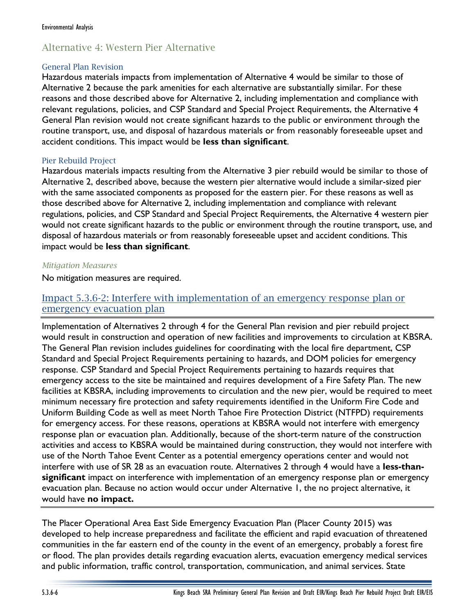# Alternative 4: Western Pier Alternative

### General Plan Revision

Hazardous materials impacts from implementation of Alternative 4 would be similar to those of Alternative 2 because the park amenities for each alternative are substantially similar. For these reasons and those described above for Alternative 2, including implementation and compliance with relevant regulations, policies, and CSP Standard and Special Project Requirements, the Alternative 4 General Plan revision would not create significant hazards to the public or environment through the routine transport, use, and disposal of hazardous materials or from reasonably foreseeable upset and accident conditions. This impact would be **less than significant**.

## Pier Rebuild Project

Hazardous materials impacts resulting from the Alternative 3 pier rebuild would be similar to those of Alternative 2, described above, because the western pier alternative would include a similar-sized pier with the same associated components as proposed for the eastern pier. For these reasons as well as those described above for Alternative 2, including implementation and compliance with relevant regulations, policies, and CSP Standard and Special Project Requirements, the Alternative 4 western pier would not create significant hazards to the public or environment through the routine transport, use, and disposal of hazardous materials or from reasonably foreseeable upset and accident conditions. This impact would be **less than significant**.

## *Mitigation Measures*

No mitigation measures are required.

# Impact 5.3.6-2: Interfere with implementation of an emergency response plan or emergency evacuation plan

Implementation of Alternatives 2 through 4 for the General Plan revision and pier rebuild project would result in construction and operation of new facilities and improvements to circulation at KBSRA. The General Plan revision includes guidelines for coordinating with the local fire department, CSP Standard and Special Project Requirements pertaining to hazards, and DOM policies for emergency response. CSP Standard and Special Project Requirements pertaining to hazards requires that emergency access to the site be maintained and requires development of a Fire Safety Plan. The new facilities at KBSRA, including improvements to circulation and the new pier, would be required to meet minimum necessary fire protection and safety requirements identified in the Uniform Fire Code and Uniform Building Code as well as meet North Tahoe Fire Protection District (NTFPD) requirements for emergency access. For these reasons, operations at KBSRA would not interfere with emergency response plan or evacuation plan. Additionally, because of the short-term nature of the construction activities and access to KBSRA would be maintained during construction, they would not interfere with use of the North Tahoe Event Center as a potential emergency operations center and would not interfere with use of SR 28 as an evacuation route. Alternatives 2 through 4 would have a **less-thansignificant** impact on interference with implementation of an emergency response plan or emergency evacuation plan. Because no action would occur under Alternative 1, the no project alternative, it would have **no impact.**

The Placer Operational Area East Side Emergency Evacuation Plan (Placer County 2015) was developed to help increase preparedness and facilitate the efficient and rapid evacuation of threatened communities in the far eastern end of the county in the event of an emergency, probably a forest fire or flood. The plan provides details regarding evacuation alerts, evacuation emergency medical services and public information, traffic control, transportation, communication, and animal services. State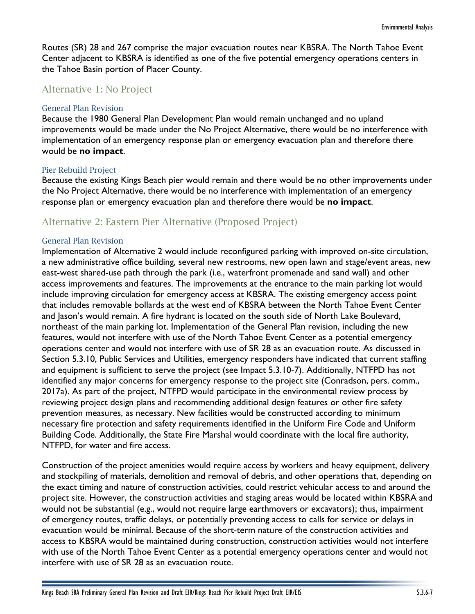Routes (SR) 28 and 267 comprise the major evacuation routes near KBSRA. The North Tahoe Event Center adjacent to KBSRA is identified as one of the five potential emergency operations centers in the Tahoe Basin portion of Placer County.

## Alternative 1: No Project

#### General Plan Revision

Because the 1980 General Plan Development Plan would remain unchanged and no upland improvements would be made under the No Project Alternative, there would be no interference with implementation of an emergency response plan or emergency evacuation plan and therefore there would be **no impact**.

#### Pier Rebuild Project

Because the existing Kings Beach pier would remain and there would be no other improvements under the No Project Alternative, there would be no interference with implementation of an emergency response plan or emergency evacuation plan and therefore there would be **no impact**.

# Alternative 2: Eastern Pier Alternative (Proposed Project)

#### General Plan Revision

Implementation of Alternative 2 would include reconfigured parking with improved on-site circulation, a new administrative office building, several new restrooms, new open lawn and stage/event areas, new east-west shared-use path through the park (i.e., waterfront promenade and sand wall) and other access improvements and features. The improvements at the entrance to the main parking lot would include improving circulation for emergency access at KBSRA. The existing emergency access point that includes removable bollards at the west end of KBSRA between the North Tahoe Event Center and Jason's would remain. A fire hydrant is located on the south side of North Lake Boulevard, northeast of the main parking lot. Implementation of the General Plan revision, including the new features, would not interfere with use of the North Tahoe Event Center as a potential emergency operations center and would not interfere with use of SR 28 as an evacuation route. As discussed in Section 5.3.10, Public Services and Utilities, emergency responders have indicated that current staffing and equipment is sufficient to serve the project (see Impact 5.3.10-7). Additionally, NTFPD has not identified any major concerns for emergency response to the project site (Conradson, pers. comm., 2017a). As part of the project, NTFPD would participate in the environmental review process by reviewing project design plans and recommending additional design features or other fire safety prevention measures, as necessary. New facilities would be constructed according to minimum necessary fire protection and safety requirements identified in the Uniform Fire Code and Uniform Building Code. Additionally, the State Fire Marshal would coordinate with the local fire authority, NTFPD, for water and fire access.

Construction of the project amenities would require access by workers and heavy equipment, delivery and stockpiling of materials, demolition and removal of debris, and other operations that, depending on the exact timing and nature of construction activities, could restrict vehicular access to and around the project site. However, the construction activities and staging areas would be located within KBSRA and would not be substantial (e.g., would not require large earthmovers or excavators); thus, impairment of emergency routes, traffic delays, or potentially preventing access to calls for service or delays in evacuation would be minimal. Because of the short-term nature of the construction activities and access to KBSRA would be maintained during construction, construction activities would not interfere with use of the North Tahoe Event Center as a potential emergency operations center and would not interfere with use of SR 28 as an evacuation route.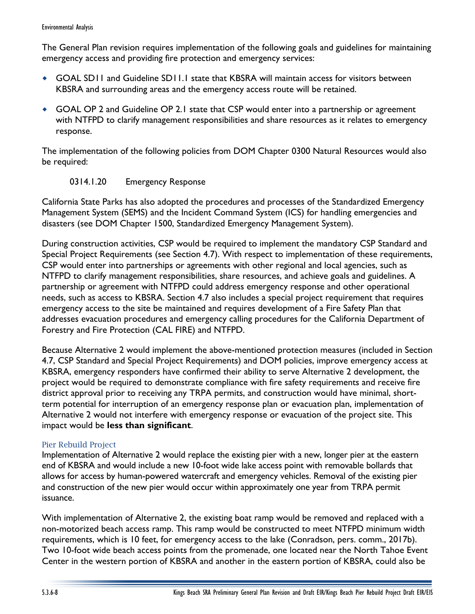The General Plan revision requires implementation of the following goals and guidelines for maintaining emergency access and providing fire protection and emergency services:

- GOAL SD11 and Guideline SD11.1 state that KBSRA will maintain access for visitors between KBSRA and surrounding areas and the emergency access route will be retained.
- GOAL OP 2 and Guideline OP 2.1 state that CSP would enter into a partnership or agreement with NTFPD to clarify management responsibilities and share resources as it relates to emergency response.

The implementation of the following policies from DOM Chapter 0300 Natural Resources would also be required:

## 0314.1.20 Emergency Response

California State Parks has also adopted the procedures and processes of the Standardized Emergency Management System (SEMS) and the Incident Command System (ICS) for handling emergencies and disasters (see DOM Chapter 1500, Standardized Emergency Management System).

During construction activities, CSP would be required to implement the mandatory CSP Standard and Special Project Requirements (see Section 4.7). With respect to implementation of these requirements, CSP would enter into partnerships or agreements with other regional and local agencies, such as NTFPD to clarify management responsibilities, share resources, and achieve goals and guidelines. A partnership or agreement with NTFPD could address emergency response and other operational needs, such as access to KBSRA. Section 4.7 also includes a special project requirement that requires emergency access to the site be maintained and requires development of a Fire Safety Plan that addresses evacuation procedures and emergency calling procedures for the California Department of Forestry and Fire Protection (CAL FIRE) and NTFPD.

Because Alternative 2 would implement the above-mentioned protection measures (included in Section 4.7, CSP Standard and Special Project Requirements) and DOM policies, improve emergency access at KBSRA, emergency responders have confirmed their ability to serve Alternative 2 development, the project would be required to demonstrate compliance with fire safety requirements and receive fire district approval prior to receiving any TRPA permits, and construction would have minimal, shortterm potential for interruption of an emergency response plan or evacuation plan, implementation of Alternative 2 would not interfere with emergency response or evacuation of the project site. This impact would be **less than significant**.

## Pier Rebuild Project

Implementation of Alternative 2 would replace the existing pier with a new, longer pier at the eastern end of KBSRA and would include a new 10-foot wide lake access point with removable bollards that allows for access by human-powered watercraft and emergency vehicles. Removal of the existing pier and construction of the new pier would occur within approximately one year from TRPA permit issuance.

With implementation of Alternative 2, the existing boat ramp would be removed and replaced with a non-motorized beach access ramp. This ramp would be constructed to meet NTFPD minimum width requirements, which is 10 feet, for emergency access to the lake (Conradson, pers. comm., 2017b). Two 10-foot wide beach access points from the promenade, one located near the North Tahoe Event Center in the western portion of KBSRA and another in the eastern portion of KBSRA, could also be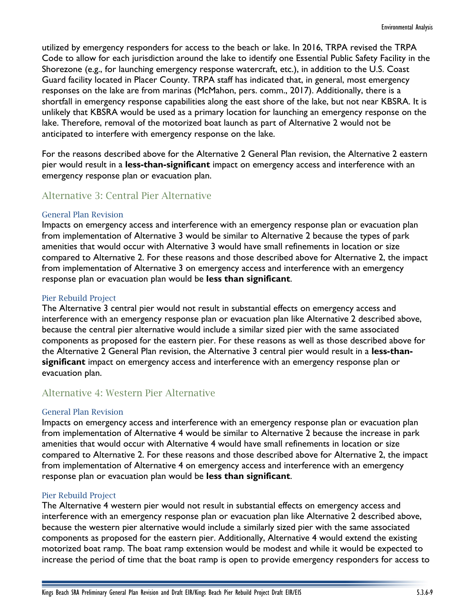utilized by emergency responders for access to the beach or lake. In 2016, TRPA revised the TRPA Code to allow for each jurisdiction around the lake to identify one Essential Public Safety Facility in the Shorezone (e.g., for launching emergency response watercraft, etc.), in addition to the U.S. Coast Guard facility located in Placer County. TRPA staff has indicated that, in general, most emergency responses on the lake are from marinas (McMahon, pers. comm., 2017). Additionally, there is a shortfall in emergency response capabilities along the east shore of the lake, but not near KBSRA. It is unlikely that KBSRA would be used as a primary location for launching an emergency response on the lake. Therefore, removal of the motorized boat launch as part of Alternative 2 would not be anticipated to interfere with emergency response on the lake.

For the reasons described above for the Alternative 2 General Plan revision, the Alternative 2 eastern pier would result in a **less-than-significant** impact on emergency access and interference with an emergency response plan or evacuation plan.

# Alternative 3: Central Pier Alternative

#### General Plan Revision

Impacts on emergency access and interference with an emergency response plan or evacuation plan from implementation of Alternative 3 would be similar to Alternative 2 because the types of park amenities that would occur with Alternative 3 would have small refinements in location or size compared to Alternative 2. For these reasons and those described above for Alternative 2, the impact from implementation of Alternative 3 on emergency access and interference with an emergency response plan or evacuation plan would be **less than significant**.

### Pier Rebuild Project

The Alternative 3 central pier would not result in substantial effects on emergency access and interference with an emergency response plan or evacuation plan like Alternative 2 described above, because the central pier alternative would include a similar sized pier with the same associated components as proposed for the eastern pier. For these reasons as well as those described above for the Alternative 2 General Plan revision, the Alternative 3 central pier would result in a **less-thansignificant** impact on emergency access and interference with an emergency response plan or evacuation plan.

## Alternative 4: Western Pier Alternative

#### General Plan Revision

Impacts on emergency access and interference with an emergency response plan or evacuation plan from implementation of Alternative 4 would be similar to Alternative 2 because the increase in park amenities that would occur with Alternative 4 would have small refinements in location or size compared to Alternative 2. For these reasons and those described above for Alternative 2, the impact from implementation of Alternative 4 on emergency access and interference with an emergency response plan or evacuation plan would be **less than significant**.

### Pier Rebuild Project

The Alternative 4 western pier would not result in substantial effects on emergency access and interference with an emergency response plan or evacuation plan like Alternative 2 described above, because the western pier alternative would include a similarly sized pier with the same associated components as proposed for the eastern pier. Additionally, Alternative 4 would extend the existing motorized boat ramp. The boat ramp extension would be modest and while it would be expected to increase the period of time that the boat ramp is open to provide emergency responders for access to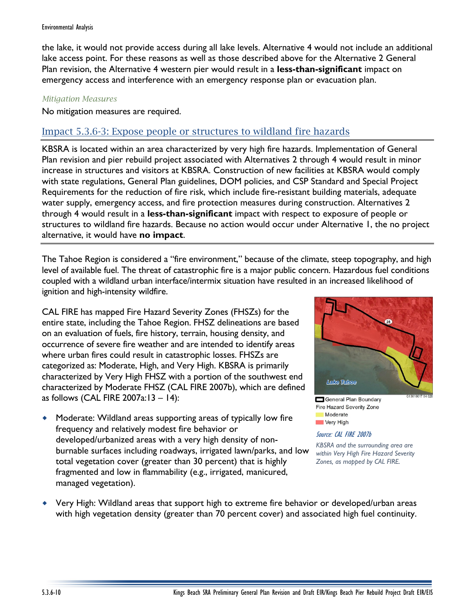the lake, it would not provide access during all lake levels. Alternative 4 would not include an additional lake access point. For these reasons as well as those described above for the Alternative 2 General Plan revision, the Alternative 4 western pier would result in a **less-than-significant** impact on emergency access and interference with an emergency response plan or evacuation plan.

## *Mitigation Measures*

No mitigation measures are required.

# Impact 5.3.6-3: Expose people or structures to wildland fire hazards

KBSRA is located within an area characterized by very high fire hazards. Implementation of General Plan revision and pier rebuild project associated with Alternatives 2 through 4 would result in minor increase in structures and visitors at KBSRA. Construction of new facilities at KBSRA would comply with state regulations, General Plan guidelines, DOM policies, and CSP Standard and Special Project Requirements for the reduction of fire risk, which include fire-resistant building materials, adequate water supply, emergency access, and fire protection measures during construction. Alternatives 2 through 4 would result in a **less-than-significant** impact with respect to exposure of people or structures to wildland fire hazards. Because no action would occur under Alternative 1, the no project alternative, it would have **no impact**.

The Tahoe Region is considered a "fire environment," because of the climate, steep topography, and high level of available fuel. The threat of catastrophic fire is a major public concern. Hazardous fuel conditions coupled with a wildland urban interface/intermix situation have resulted in an increased likelihood of ignition and high-intensity wildfire.

CAL FIRE has mapped Fire Hazard Severity Zones (FHSZs) for the entire state, including the Tahoe Region. FHSZ delineations are based on an evaluation of fuels, fire history, terrain, housing density, and occurrence of severe fire weather and are intended to identify areas where urban fires could result in catastrophic losses. FHSZs are categorized as: Moderate, High, and Very High. KBSRA is primarily characterized by Very High FHSZ with a portion of the southwest end characterized by Moderate FHSZ (CAL FIRE 2007b), which are defined as follows (CAL FIRE 2007a:13 – 14):

 Moderate: Wildland areas supporting areas of typically low fire frequency and relatively modest fire behavior or developed/urbanized areas with a very high density of nonburnable surfaces including roadways, irrigated lawn/parks, and low total vegetation cover (greater than 30 percent) that is highly fragmented and low in flammability (e.g., irrigated, manicured, managed vegetation).



General Plan Boundary Fire Hazard Severity Zone Moderate Very High

Source: CAL FIRE 2007b *KBSRA and the surrounding area are within Very High Fire Hazard Severity* 

*Zones, as mapped by CAL FIRE.*

 Very High: Wildland areas that support high to extreme fire behavior or developed/urban areas with high vegetation density (greater than 70 percent cover) and associated high fuel continuity.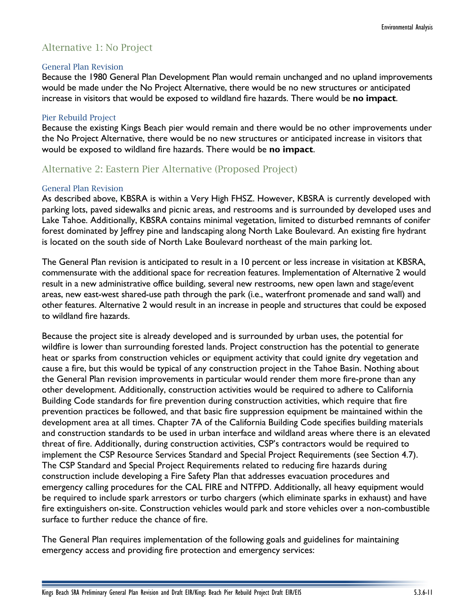# Alternative 1: No Project

#### General Plan Revision

Because the 1980 General Plan Development Plan would remain unchanged and no upland improvements would be made under the No Project Alternative, there would be no new structures or anticipated increase in visitors that would be exposed to wildland fire hazards. There would be **no impact**.

### Pier Rebuild Project

Because the existing Kings Beach pier would remain and there would be no other improvements under the No Project Alternative, there would be no new structures or anticipated increase in visitors that would be exposed to wildland fire hazards. There would be **no impact**.

# Alternative 2: Eastern Pier Alternative (Proposed Project)

### General Plan Revision

As described above, KBSRA is within a Very High FHSZ. However, KBSRA is currently developed with parking lots, paved sidewalks and picnic areas, and restrooms and is surrounded by developed uses and Lake Tahoe. Additionally, KBSRA contains minimal vegetation, limited to disturbed remnants of conifer forest dominated by Jeffrey pine and landscaping along North Lake Boulevard. An existing fire hydrant is located on the south side of North Lake Boulevard northeast of the main parking lot.

The General Plan revision is anticipated to result in a 10 percent or less increase in visitation at KBSRA, commensurate with the additional space for recreation features. Implementation of Alternative 2 would result in a new administrative office building, several new restrooms, new open lawn and stage/event areas, new east-west shared-use path through the park (i.e., waterfront promenade and sand wall) and other features. Alternative 2 would result in an increase in people and structures that could be exposed to wildland fire hazards.

Because the project site is already developed and is surrounded by urban uses, the potential for wildfire is lower than surrounding forested lands. Project construction has the potential to generate heat or sparks from construction vehicles or equipment activity that could ignite dry vegetation and cause a fire, but this would be typical of any construction project in the Tahoe Basin. Nothing about the General Plan revision improvements in particular would render them more fire-prone than any other development. Additionally, construction activities would be required to adhere to California Building Code standards for fire prevention during construction activities, which require that fire prevention practices be followed, and that basic fire suppression equipment be maintained within the development area at all times. Chapter 7A of the California Building Code specifies building materials and construction standards to be used in urban interface and wildland areas where there is an elevated threat of fire. Additionally, during construction activities, CSP's contractors would be required to implement the CSP Resource Services Standard and Special Project Requirements (see Section 4.7). The CSP Standard and Special Project Requirements related to reducing fire hazards during construction include developing a Fire Safety Plan that addresses evacuation procedures and emergency calling procedures for the CAL FIRE and NTFPD. Additionally, all heavy equipment would be required to include spark arrestors or turbo chargers (which eliminate sparks in exhaust) and have fire extinguishers on-site. Construction vehicles would park and store vehicles over a non-combustible surface to further reduce the chance of fire.

The General Plan requires implementation of the following goals and guidelines for maintaining emergency access and providing fire protection and emergency services: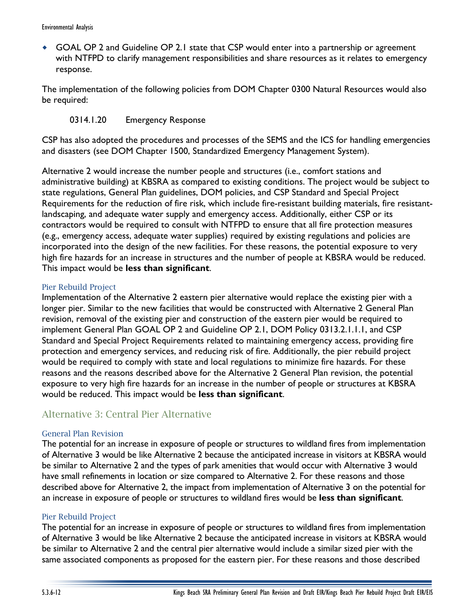GOAL OP 2 and Guideline OP 2.1 state that CSP would enter into a partnership or agreement with NTFPD to clarify management responsibilities and share resources as it relates to emergency response.

The implementation of the following policies from DOM Chapter 0300 Natural Resources would also be required:

## 0314.1.20 Emergency Response

CSP has also adopted the procedures and processes of the SEMS and the ICS for handling emergencies and disasters (see DOM Chapter 1500, Standardized Emergency Management System).

Alternative 2 would increase the number people and structures (i.e., comfort stations and administrative building) at KBSRA as compared to existing conditions. The project would be subject to state regulations, General Plan guidelines, DOM policies, and CSP Standard and Special Project Requirements for the reduction of fire risk, which include fire-resistant building materials, fire resistantlandscaping, and adequate water supply and emergency access. Additionally, either CSP or its contractors would be required to consult with NTFPD to ensure that all fire protection measures (e.g., emergency access, adequate water supplies) required by existing regulations and policies are incorporated into the design of the new facilities. For these reasons, the potential exposure to very high fire hazards for an increase in structures and the number of people at KBSRA would be reduced. This impact would be **less than significant**.

## Pier Rebuild Project

Implementation of the Alternative 2 eastern pier alternative would replace the existing pier with a longer pier. Similar to the new facilities that would be constructed with Alternative 2 General Plan revision, removal of the existing pier and construction of the eastern pier would be required to implement General Plan GOAL OP 2 and Guideline OP 2.1, DOM Policy 0313.2.1.1.1, and CSP Standard and Special Project Requirements related to maintaining emergency access, providing fire protection and emergency services, and reducing risk of fire. Additionally, the pier rebuild project would be required to comply with state and local regulations to minimize fire hazards. For these reasons and the reasons described above for the Alternative 2 General Plan revision, the potential exposure to very high fire hazards for an increase in the number of people or structures at KBSRA would be reduced. This impact would be **less than significant**.

# Alternative 3: Central Pier Alternative

## General Plan Revision

The potential for an increase in exposure of people or structures to wildland fires from implementation of Alternative 3 would be like Alternative 2 because the anticipated increase in visitors at KBSRA would be similar to Alternative 2 and the types of park amenities that would occur with Alternative 3 would have small refinements in location or size compared to Alternative 2. For these reasons and those described above for Alternative 2, the impact from implementation of Alternative 3 on the potential for an increase in exposure of people or structures to wildland fires would be **less than significant**.

### Pier Rebuild Project

The potential for an increase in exposure of people or structures to wildland fires from implementation of Alternative 3 would be like Alternative 2 because the anticipated increase in visitors at KBSRA would be similar to Alternative 2 and the central pier alternative would include a similar sized pier with the same associated components as proposed for the eastern pier. For these reasons and those described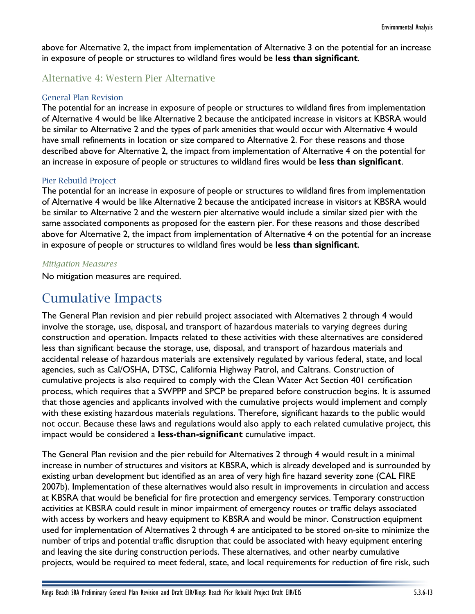above for Alternative 2, the impact from implementation of Alternative 3 on the potential for an increase in exposure of people or structures to wildland fires would be **less than significant**.

## Alternative 4: Western Pier Alternative

#### General Plan Revision

The potential for an increase in exposure of people or structures to wildland fires from implementation of Alternative 4 would be like Alternative 2 because the anticipated increase in visitors at KBSRA would be similar to Alternative 2 and the types of park amenities that would occur with Alternative 4 would have small refinements in location or size compared to Alternative 2. For these reasons and those described above for Alternative 2, the impact from implementation of Alternative 4 on the potential for an increase in exposure of people or structures to wildland fires would be **less than significant**.

#### Pier Rebuild Project

The potential for an increase in exposure of people or structures to wildland fires from implementation of Alternative 4 would be like Alternative 2 because the anticipated increase in visitors at KBSRA would be similar to Alternative 2 and the western pier alternative would include a similar sized pier with the same associated components as proposed for the eastern pier. For these reasons and those described above for Alternative 2, the impact from implementation of Alternative 4 on the potential for an increase in exposure of people or structures to wildland fires would be **less than significant**.

#### *Mitigation Measures*

No mitigation measures are required.

# Cumulative Impacts

The General Plan revision and pier rebuild project associated with Alternatives 2 through 4 would involve the storage, use, disposal, and transport of hazardous materials to varying degrees during construction and operation. Impacts related to these activities with these alternatives are considered less than significant because the storage, use, disposal, and transport of hazardous materials and accidental release of hazardous materials are extensively regulated by various federal, state, and local agencies, such as Cal/OSHA, DTSC, California Highway Patrol, and Caltrans. Construction of cumulative projects is also required to comply with the Clean Water Act Section 401 certification process, which requires that a SWPPP and SPCP be prepared before construction begins. It is assumed that those agencies and applicants involved with the cumulative projects would implement and comply with these existing hazardous materials regulations. Therefore, significant hazards to the public would not occur. Because these laws and regulations would also apply to each related cumulative project, this impact would be considered a **less-than-significant** cumulative impact.

The General Plan revision and the pier rebuild for Alternatives 2 through 4 would result in a minimal increase in number of structures and visitors at KBSRA, which is already developed and is surrounded by existing urban development but identified as an area of very high fire hazard severity zone (CAL FIRE 2007b). Implementation of these alternatives would also result in improvements in circulation and access at KBSRA that would be beneficial for fire protection and emergency services. Temporary construction activities at KBSRA could result in minor impairment of emergency routes or traffic delays associated with access by workers and heavy equipment to KBSRA and would be minor. Construction equipment used for implementation of Alternatives 2 through 4 are anticipated to be stored on-site to minimize the number of trips and potential traffic disruption that could be associated with heavy equipment entering and leaving the site during construction periods. These alternatives, and other nearby cumulative projects, would be required to meet federal, state, and local requirements for reduction of fire risk, such